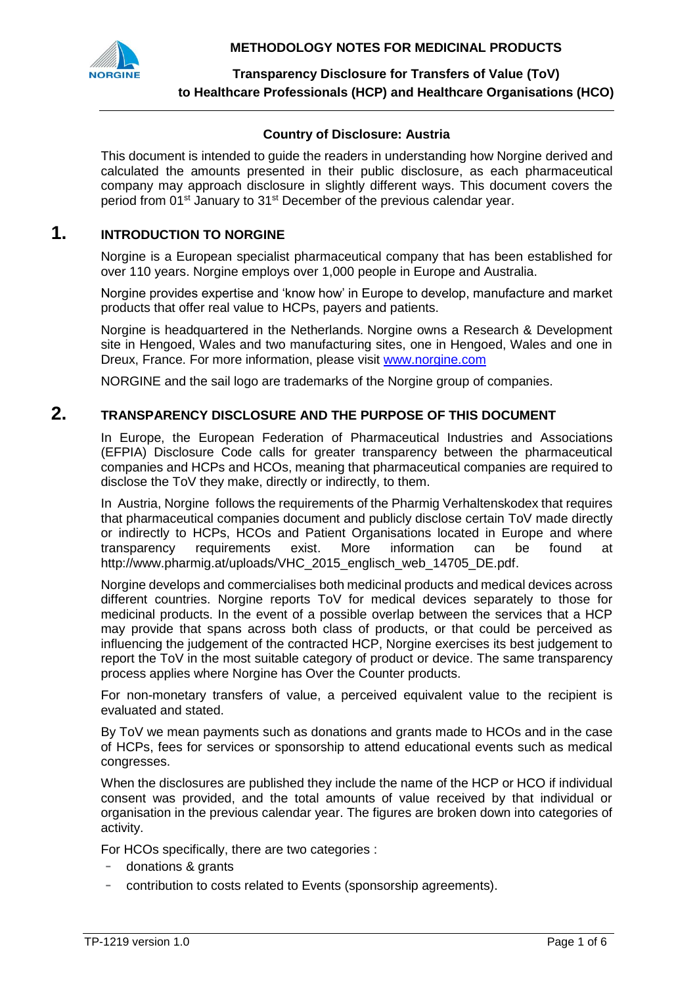**METHODOLOGY NOTES FOR MEDICINAL PRODUCTS**



**Transparency Disclosure for Transfers of Value (ToV) to Healthcare Professionals (HCP) and Healthcare Organisations (HCO)**

### **Country of Disclosure: Austria**

This document is intended to guide the readers in understanding how Norgine derived and calculated the amounts presented in their public disclosure, as each pharmaceutical company may approach disclosure in slightly different ways. This document covers the period from 01st January to 31st December of the previous calendar year.

## **1. INTRODUCTION TO NORGINE**

Norgine is a European specialist pharmaceutical company that has been established for over 110 years. Norgine employs over 1,000 people in Europe and Australia.

Norgine provides expertise and 'know how' in Europe to develop, manufacture and market products that offer real value to HCPs, payers and patients.

Norgine is headquartered in the Netherlands. Norgine owns a Research & Development site in Hengoed, Wales and two manufacturing sites, one in Hengoed, Wales and one in Dreux, France. For more information, please visit [www.norgine.com](http://www.norgine.com/)

NORGINE and the sail logo are trademarks of the Norgine group of companies.

### **2. TRANSPARENCY DISCLOSURE AND THE PURPOSE OF THIS DOCUMENT**

In Europe, the European Federation of Pharmaceutical Industries and Associations (EFPIA) Disclosure Code calls for greater transparency between the pharmaceutical companies and HCPs and HCOs, meaning that pharmaceutical companies are required to disclose the ToV they make, directly or indirectly, to them.

In Austria, Norgine follows the requirements of the Pharmig Verhaltenskodex that requires that pharmaceutical companies document and publicly disclose certain ToV made directly or indirectly to HCPs, HCOs and Patient Organisations located in Europe and where transparency requirements exist. More information can be found at http://www.pharmig.at/uploads/VHC\_2015\_englisch\_web\_14705\_DE.pdf.

Norgine develops and commercialises both medicinal products and medical devices across different countries. Norgine reports ToV for medical devices separately to those for medicinal products. In the event of a possible overlap between the services that a HCP may provide that spans across both class of products, or that could be perceived as influencing the judgement of the contracted HCP, Norgine exercises its best judgement to report the ToV in the most suitable category of product or device. The same transparency process applies where Norgine has Over the Counter products.

For non-monetary transfers of value, a perceived equivalent value to the recipient is evaluated and stated.

By ToV we mean payments such as donations and grants made to HCOs and in the case of HCPs, fees for services or sponsorship to attend educational events such as medical congresses.

When the disclosures are published they include the name of the HCP or HCO if individual consent was provided, and the total amounts of value received by that individual or organisation in the previous calendar year. The figures are broken down into categories of activity.

For HCOs specifically, there are two categories :

- donations & grants
- contribution to costs related to Events (sponsorship agreements).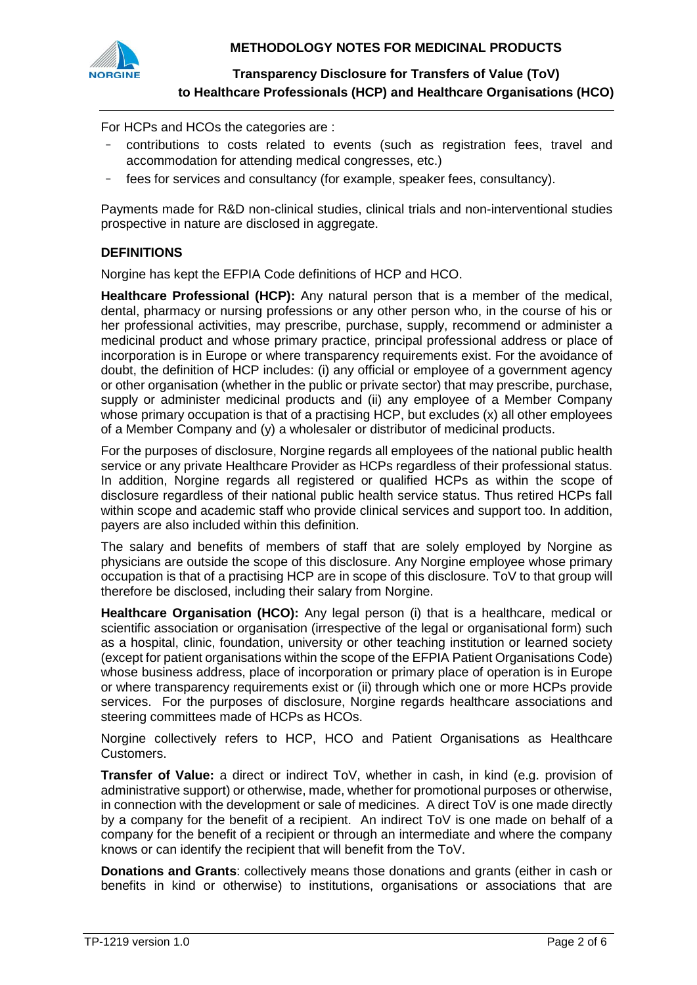

## **Transparency Disclosure for Transfers of Value (ToV) to Healthcare Professionals (HCP) and Healthcare Organisations (HCO)**

For HCPs and HCOs the categories are :

- contributions to costs related to events (such as registration fees, travel and accommodation for attending medical congresses, etc.)
- fees for services and consultancy (for example, speaker fees, consultancy).

Payments made for R&D non-clinical studies, clinical trials and non-interventional studies prospective in nature are disclosed in aggregate.

### **DEFINITIONS**

Norgine has kept the EFPIA Code definitions of HCP and HCO.

**Healthcare Professional (HCP):** Any natural person that is a member of the medical, dental, pharmacy or nursing professions or any other person who, in the course of his or her professional activities, may prescribe, purchase, supply, recommend or administer a medicinal product and whose primary practice, principal professional address or place of incorporation is in Europe or where transparency requirements exist. For the avoidance of doubt, the definition of HCP includes: (i) any official or employee of a government agency or other organisation (whether in the public or private sector) that may prescribe, purchase, supply or administer medicinal products and (ii) any employee of a Member Company whose primary occupation is that of a practising HCP, but excludes (x) all other employees of a Member Company and (y) a wholesaler or distributor of medicinal products.

For the purposes of disclosure, Norgine regards all employees of the national public health service or any private Healthcare Provider as HCPs regardless of their professional status. In addition, Norgine regards all registered or qualified HCPs as within the scope of disclosure regardless of their national public health service status. Thus retired HCPs fall within scope and academic staff who provide clinical services and support too. In addition, payers are also included within this definition.

The salary and benefits of members of staff that are solely employed by Norgine as physicians are outside the scope of this disclosure. Any Norgine employee whose primary occupation is that of a practising HCP are in scope of this disclosure. ToV to that group will therefore be disclosed, including their salary from Norgine.

**Healthcare Organisation (HCO):** Any legal person (i) that is a healthcare, medical or scientific association or organisation (irrespective of the legal or organisational form) such as a hospital, clinic, foundation, university or other teaching institution or learned society (except for patient organisations within the scope of the EFPIA Patient Organisations Code) whose business address, place of incorporation or primary place of operation is in Europe or where transparency requirements exist or (ii) through which one or more HCPs provide services. For the purposes of disclosure, Norgine regards healthcare associations and steering committees made of HCPs as HCOs.

Norgine collectively refers to HCP, HCO and Patient Organisations as Healthcare Customers.

**Transfer of Value:** a direct or indirect ToV, whether in cash, in kind (e.g. provision of administrative support) or otherwise, made, whether for promotional purposes or otherwise, in connection with the development or sale of medicines. A direct ToV is one made directly by a company for the benefit of a recipient. An indirect ToV is one made on behalf of a company for the benefit of a recipient or through an intermediate and where the company knows or can identify the recipient that will benefit from the ToV.

**Donations and Grants**: collectively means those donations and grants (either in cash or benefits in kind or otherwise) to institutions, organisations or associations that are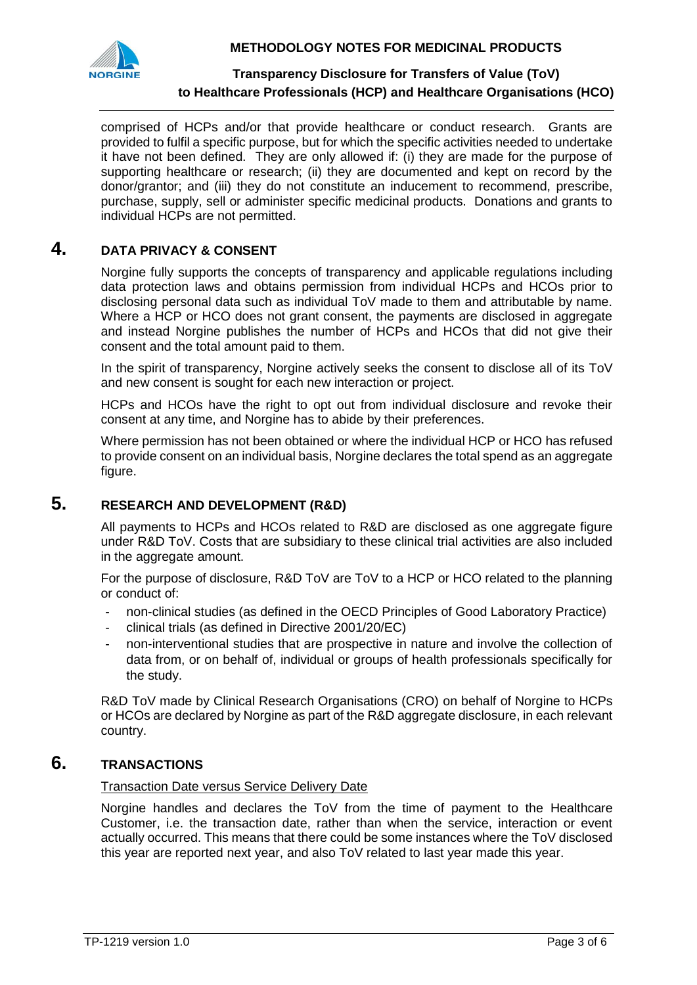

**METHODOLOGY NOTES FOR MEDICINAL PRODUCTS**

## **Transparency Disclosure for Transfers of Value (ToV) to Healthcare Professionals (HCP) and Healthcare Organisations (HCO)**

comprised of HCPs and/or that provide healthcare or conduct research. Grants are provided to fulfil a specific purpose, but for which the specific activities needed to undertake it have not been defined. They are only allowed if: (i) they are made for the purpose of supporting healthcare or research; (ii) they are documented and kept on record by the donor/grantor; and (iii) they do not constitute an inducement to recommend, prescribe, purchase, supply, sell or administer specific medicinal products. Donations and grants to individual HCPs are not permitted.

## **4. DATA PRIVACY & CONSENT**

Norgine fully supports the concepts of transparency and applicable regulations including data protection laws and obtains permission from individual HCPs and HCOs prior to disclosing personal data such as individual ToV made to them and attributable by name. Where a HCP or HCO does not grant consent, the payments are disclosed in aggregate and instead Norgine publishes the number of HCPs and HCOs that did not give their consent and the total amount paid to them.

In the spirit of transparency, Norgine actively seeks the consent to disclose all of its ToV and new consent is sought for each new interaction or project.

HCPs and HCOs have the right to opt out from individual disclosure and revoke their consent at any time, and Norgine has to abide by their preferences.

Where permission has not been obtained or where the individual HCP or HCO has refused to provide consent on an individual basis, Norgine declares the total spend as an aggregate figure.

## **5. RESEARCH AND DEVELOPMENT (R&D)**

All payments to HCPs and HCOs related to R&D are disclosed as one aggregate figure under R&D ToV. Costs that are subsidiary to these clinical trial activities are also included in the aggregate amount.

For the purpose of disclosure, R&D ToV are ToV to a HCP or HCO related to the planning or conduct of:

- non-clinical studies (as defined in the OECD Principles of Good Laboratory Practice)
- clinical trials (as defined in Directive 2001/20/EC)
- non-interventional studies that are prospective in nature and involve the collection of data from, or on behalf of, individual or groups of health professionals specifically for the study.

R&D ToV made by Clinical Research Organisations (CRO) on behalf of Norgine to HCPs or HCOs are declared by Norgine as part of the R&D aggregate disclosure, in each relevant country.

# **6. TRANSACTIONS**

### Transaction Date versus Service Delivery Date

Norgine handles and declares the ToV from the time of payment to the Healthcare Customer, i.e. the transaction date, rather than when the service, interaction or event actually occurred. This means that there could be some instances where the ToV disclosed this year are reported next year, and also ToV related to last year made this year.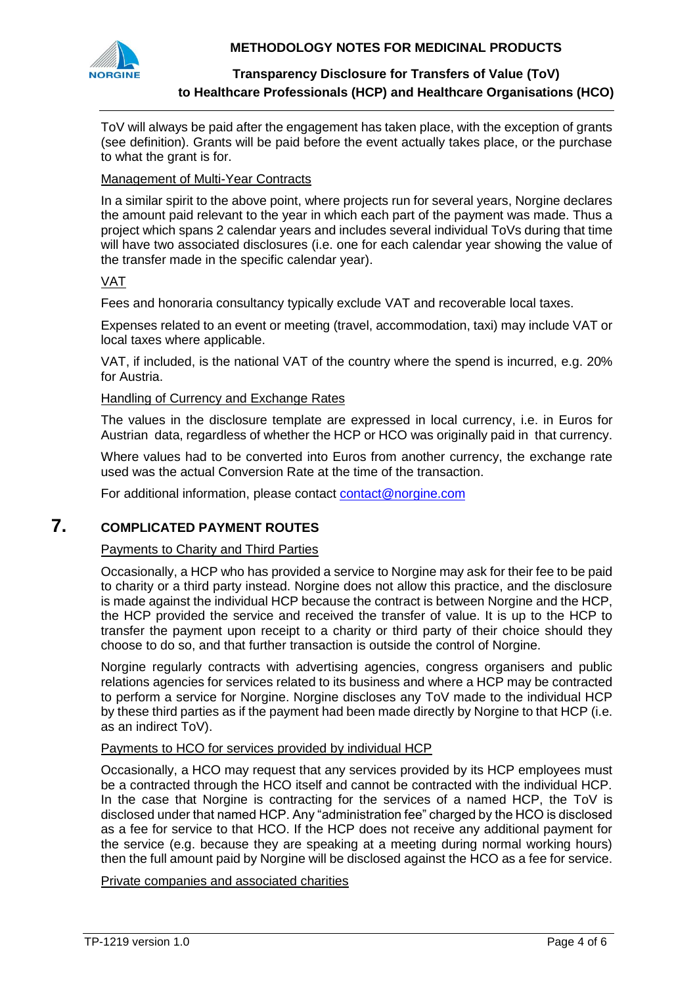

### **METHODOLOGY NOTES FOR MEDICINAL PRODUCTS**

### **Transparency Disclosure for Transfers of Value (ToV) to Healthcare Professionals (HCP) and Healthcare Organisations (HCO)**

ToV will always be paid after the engagement has taken place, with the exception of grants (see definition). Grants will be paid before the event actually takes place, or the purchase to what the grant is for.

### Management of Multi-Year Contracts

In a similar spirit to the above point, where projects run for several years, Norgine declares the amount paid relevant to the year in which each part of the payment was made. Thus a project which spans 2 calendar years and includes several individual ToVs during that time will have two associated disclosures (i.e. one for each calendar year showing the value of the transfer made in the specific calendar year).

### VAT

Fees and honoraria consultancy typically exclude VAT and recoverable local taxes.

Expenses related to an event or meeting (travel, accommodation, taxi) may include VAT or local taxes where applicable.

VAT, if included, is the national VAT of the country where the spend is incurred, e.g. 20% for Austria.

#### Handling of Currency and Exchange Rates

The values in the disclosure template are expressed in local currency, i.e. in Euros for Austrian data, regardless of whether the HCP or HCO was originally paid in that currency.

Where values had to be converted into Euros from another currency, the exchange rate used was the actual Conversion Rate at the time of the transaction.

For additional information, please contact [contact@norgine.com](mailto:contact@norgine.com)

# **7. COMPLICATED PAYMENT ROUTES**

### Payments to Charity and Third Parties

Occasionally, a HCP who has provided a service to Norgine may ask for their fee to be paid to charity or a third party instead. Norgine does not allow this practice, and the disclosure is made against the individual HCP because the contract is between Norgine and the HCP, the HCP provided the service and received the transfer of value. It is up to the HCP to transfer the payment upon receipt to a charity or third party of their choice should they choose to do so, and that further transaction is outside the control of Norgine.

Norgine regularly contracts with advertising agencies, congress organisers and public relations agencies for services related to its business and where a HCP may be contracted to perform a service for Norgine. Norgine discloses any ToV made to the individual HCP by these third parties as if the payment had been made directly by Norgine to that HCP (i.e. as an indirect ToV).

### Payments to HCO for services provided by individual HCP

Occasionally, a HCO may request that any services provided by its HCP employees must be a contracted through the HCO itself and cannot be contracted with the individual HCP. In the case that Norgine is contracting for the services of a named HCP, the ToV is disclosed under that named HCP. Any "administration fee" charged by the HCO is disclosed as a fee for service to that HCO. If the HCP does not receive any additional payment for the service (e.g. because they are speaking at a meeting during normal working hours) then the full amount paid by Norgine will be disclosed against the HCO as a fee for service.

Private companies and associated charities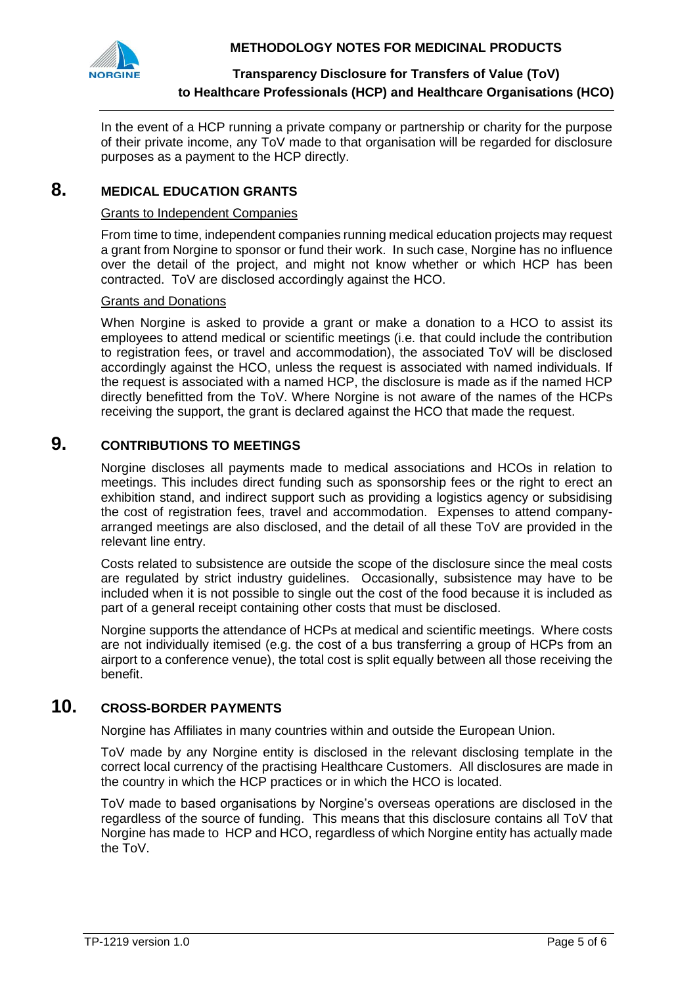

## **Transparency Disclosure for Transfers of Value (ToV) to Healthcare Professionals (HCP) and Healthcare Organisations (HCO)**

In the event of a HCP running a private company or partnership or charity for the purpose of their private income, any ToV made to that organisation will be regarded for disclosure purposes as a payment to the HCP directly.

## **8. MEDICAL EDUCATION GRANTS**

#### Grants to Independent Companies

From time to time, independent companies running medical education projects may request a grant from Norgine to sponsor or fund their work. In such case, Norgine has no influence over the detail of the project, and might not know whether or which HCP has been contracted. ToV are disclosed accordingly against the HCO.

#### Grants and Donations

When Norgine is asked to provide a grant or make a donation to a HCO to assist its employees to attend medical or scientific meetings (i.e. that could include the contribution to registration fees, or travel and accommodation), the associated ToV will be disclosed accordingly against the HCO, unless the request is associated with named individuals. If the request is associated with a named HCP, the disclosure is made as if the named HCP directly benefitted from the ToV. Where Norgine is not aware of the names of the HCPs receiving the support, the grant is declared against the HCO that made the request.

## **9. CONTRIBUTIONS TO MEETINGS**

Norgine discloses all payments made to medical associations and HCOs in relation to meetings. This includes direct funding such as sponsorship fees or the right to erect an exhibition stand, and indirect support such as providing a logistics agency or subsidising the cost of registration fees, travel and accommodation. Expenses to attend companyarranged meetings are also disclosed, and the detail of all these ToV are provided in the relevant line entry.

Costs related to subsistence are outside the scope of the disclosure since the meal costs are regulated by strict industry guidelines. Occasionally, subsistence may have to be included when it is not possible to single out the cost of the food because it is included as part of a general receipt containing other costs that must be disclosed.

Norgine supports the attendance of HCPs at medical and scientific meetings. Where costs are not individually itemised (e.g. the cost of a bus transferring a group of HCPs from an airport to a conference venue), the total cost is split equally between all those receiving the benefit.

# **10. CROSS-BORDER PAYMENTS**

Norgine has Affiliates in many countries within and outside the European Union.

ToV made by any Norgine entity is disclosed in the relevant disclosing template in the correct local currency of the practising Healthcare Customers. All disclosures are made in the country in which the HCP practices or in which the HCO is located.

ToV made to based organisations by Norgine's overseas operations are disclosed in the regardless of the source of funding. This means that this disclosure contains all ToV that Norgine has made to HCP and HCO, regardless of which Norgine entity has actually made the ToV.